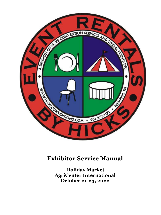

## **Exhibitor Service Manual**

**Holiday Market AgriCenter International October 21-23, 2022**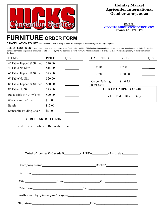

## **Holiday Market Agricenter International October 21-23, 2022**

**EMAIL: [JENNIFER@HICKSCONVENTIONS.COM](mailto:JENNIFER@HICKSCONVENTIONS.COM) Phone: 901-272-1171**

## **FURNITURE ORDER FORM**

**CANCELLATION POLICY:** Items cancelled after delivery to booth will be subject to <sup>a</sup> 50% charge **of the original price.**

USE OF EQUIPMENT: Standing on chairs, tables or other rental furniture is prohibited. This furniture is not engineered to support your standing weight. Hicks Convention Services cannot be responsible for injuries or falls caused by the improper use of rental furniture. All materials are on a rental basis and remain the property of Hicks Convention Services.

| <b>ITEMS</b>               | <b>PRICE</b> |      |
|----------------------------|--------------|------|
| 4' Table Topped & Skirted  | \$20.00      |      |
| 4' Table No Skirt          | \$15.00      |      |
| 6' Table Topped & Skirted  | \$25.00      |      |
| 6' Table No Skirt          | \$20.00      |      |
| 8' Table Topped & Skirted  | \$30.00      |      |
| 8' Table No Skirt          | \$25.00      |      |
| Raise table to 42" w/skirt | \$20.00      |      |
| Wastebasket w/Liner        | \$10.00      |      |
| Easels                     | \$15.00      |      |
| Samsonite Folding Chair    | \$5.00       |      |
| <b>CIRCLE SKIRT COLOR:</b> |              |      |
| Red<br>Blue<br>Silver      | Burgundy     | Plum |

| <b>CARPETING</b>                       | <b>PRICE</b>           |  |
|----------------------------------------|------------------------|--|
|                                        |                        |  |
| $10' \times 10'$                       | \$75.00                |  |
| $10' \times 20'$                       | \$150.00               |  |
| <b>Carpet Padding</b><br>(Per Sq. Ft.) | 0.75<br>S              |  |
| <b>CIRCLE CARPET COLOR:</b>            |                        |  |
|                                        | Black Red Blue<br>Grey |  |

| Total of items: Ordered: \$ | $+9.75%$ | $= Amt.$ due |
|-----------------------------|----------|--------------|
|-----------------------------|----------|--------------|

|  | Booth#_________________________                       |  |
|--|-------------------------------------------------------|--|
|  |                                                       |  |
|  | City State Zip                                        |  |
|  | $\text{Fax} \qquad \qquad \overbrace{\qquad \qquad }$ |  |
|  |                                                       |  |
|  |                                                       |  |